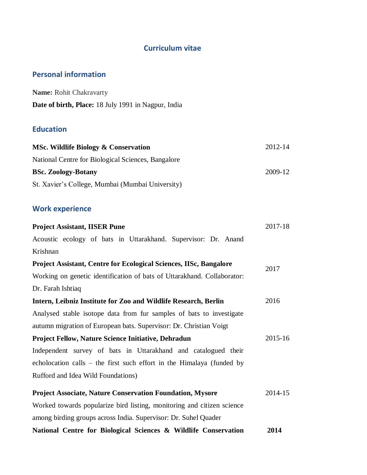## **Curriculum vitae**

## **Personal information**

| <b>Name:</b> Rohit Chakravarty                             |  |  |
|------------------------------------------------------------|--|--|
| <b>Date of birth, Place:</b> 18 July 1991 in Nagpur, India |  |  |

# **Education**

| MSc. Wildlife Biology & Conservation               | 2012-14 |
|----------------------------------------------------|---------|
| National Centre for Biological Sciences, Bangalore |         |
| <b>BSc. Zoology-Botany</b>                         | 2009-12 |
| St. Xavier's College, Mumbai (Mumbai University)   |         |

# **Work experience**

| <b>Project Assistant, IISER Pune</b>                                      | 2017-18 |
|---------------------------------------------------------------------------|---------|
| Acoustic ecology of bats in Uttarakhand. Supervisor: Dr. Anand            |         |
| Krishnan                                                                  |         |
| <b>Project Assistant, Centre for Ecological Sciences, IISc, Bangalore</b> | 2017    |
| Working on genetic identification of bats of Uttarakhand. Collaborator:   |         |
| Dr. Farah Ishtiaq                                                         |         |
| Intern, Leibniz Institute for Zoo and Wildlife Research, Berlin           | 2016    |
| Analysed stable isotope data from fur samples of bats to investigate      |         |
| autumn migration of European bats. Supervisor: Dr. Christian Voigt        |         |
| <b>Project Fellow, Nature Science Initiative, Dehradun</b>                | 2015-16 |
| Independent survey of bats in Uttarakhand and catalogued their            |         |
| echolocation calls – the first such effort in the Himalaya (funded by     |         |
| Rufford and Idea Wild Foundations)                                        |         |
| <b>Project Associate, Nature Conservation Foundation, Mysore</b>          | 2014-15 |
| Worked towards popularize bird listing, monitoring and citizen science    |         |
| among birding groups across India. Supervisor: Dr. Suhel Quader           |         |
| National Centre for Biological Sciences & Wildlife Conservation           | 2014    |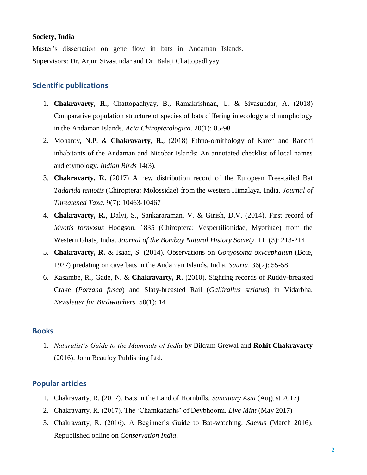#### **Society, India**

Master's dissertation on gene flow in bats in Andaman Islands. Supervisors: Dr. Arjun Sivasundar and Dr. Balaji Chattopadhyay

### **Scientific publications**

- 1. **Chakravarty, R.**, Chattopadhyay, B., Ramakrishnan, U. & Sivasundar, A. (2018) Comparative population structure of species of bats differing in ecology and morphology in the Andaman Islands. *Acta Chiropterologica*. 20(1): 85-98
- 2. Mohanty, N.P. & **Chakravarty, R.**, (2018) Ethno-ornithology of Karen and Ranchi inhabitants of the Andaman and Nicobar Islands: An annotated checklist of local names and etymology. *Indian Birds* 14(3).
- 3. **Chakravarty, R.** (2017) A new distribution record of the European Free-tailed Bat *Tadarida teniotis* (Chiroptera: Molossidae) from the western Himalaya, India. *Journal of Threatened Taxa*. 9(7): 10463-10467
- 4. **Chakravarty, R.**, Dalvi, S., Sankararaman, V. & Girish, D.V. (2014). First record of *Myotis formosus* Hodgson, 1835 (Chiroptera: Vespertilionidae, Myotinae) from the Western Ghats, India. *Journal of the Bombay Natural History Society*. 111(3): 213-214
- 5. **Chakravarty, R.** & Isaac, S. (2014). Observations on *Gonyosoma oxycephalum* (Boie, 1927) predating on cave bats in the Andaman Islands, India. *Sauria*. 36(2): 55-58
- 6. Kasambe, R., Gade, N. & **Chakravarty, R.** (2010). Sighting records of Ruddy-breasted Crake (*Porzana fusca*) and Slaty-breasted Rail (*Gallirallus striatus*) in Vidarbha. *Newsletter for Birdwatchers.* 50(1): 14

### **Books**

1. *Naturalist's Guide to the Mammals of India* by Bikram Grewal and **Rohit Chakravarty** (2016). John Beaufoy Publishing Ltd.

### **Popular articles**

- 1. Chakravarty, R. (2017). Bats in the Land of Hornbills. *Sanctuary Asia* (August 2017)
- 2. Chakravarty, R. (2017). The 'Chamkadarhs' of Devbhoomi. *Live Mint* (May 2017)
- 3. Chakravarty, R. (2016). A Beginner's Guide to Bat-watching. *Saevus* (March 2016). Republished online on *Conservation India*.